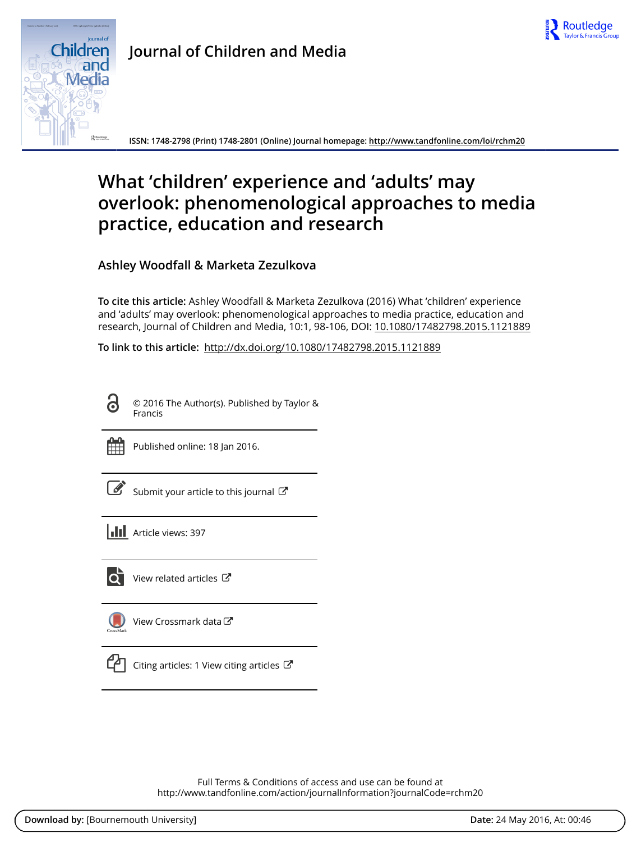



**Journal of Children and Media**

**ISSN: 1748-2798 (Print) 1748-2801 (Online) Journal homepage:<http://www.tandfonline.com/loi/rchm20>**

# **What 'children' experience and 'adults' may overlook: phenomenological approaches to media practice, education and research**

**Ashley Woodfall & Marketa Zezulkova**

**To cite this article:** Ashley Woodfall & Marketa Zezulkova (2016) What 'children' experience and 'adults' may overlook: phenomenological approaches to media practice, education and research, Journal of Children and Media, 10:1, 98-106, DOI: [10.1080/17482798.2015.1121889](http://www.tandfonline.com/action/showCitFormats?doi=10.1080/17482798.2015.1121889)

**To link to this article:** <http://dx.doi.org/10.1080/17482798.2015.1121889>

6

© 2016 The Author(s). Published by Taylor & Francis



Published online: 18 Jan 2016.

| ł<br>٦ |
|--------|
|--------|

[Submit your article to this journal](http://www.tandfonline.com/action/authorSubmission?journalCode=rchm20&page=instructions)  $\mathbb{Z}$ 

**III** Article views: 397



 $\overline{Q}$  [View related articles](http://www.tandfonline.com/doi/mlt/10.1080/17482798.2015.1121889)  $\overline{C}$ 

[View Crossmark data](http://crossmark.crossref.org/dialog/?doi=10.1080/17482798.2015.1121889&domain=pdf&date_stamp=2016-01-18)<sup>C</sup>



 $\Box$  [Citing articles: 1 View citing articles](http://www.tandfonline.com/doi/citedby/10.1080/17482798.2015.1121889#tabModule)  $\Box$ 

Full Terms & Conditions of access and use can be found at <http://www.tandfonline.com/action/journalInformation?journalCode=rchm20>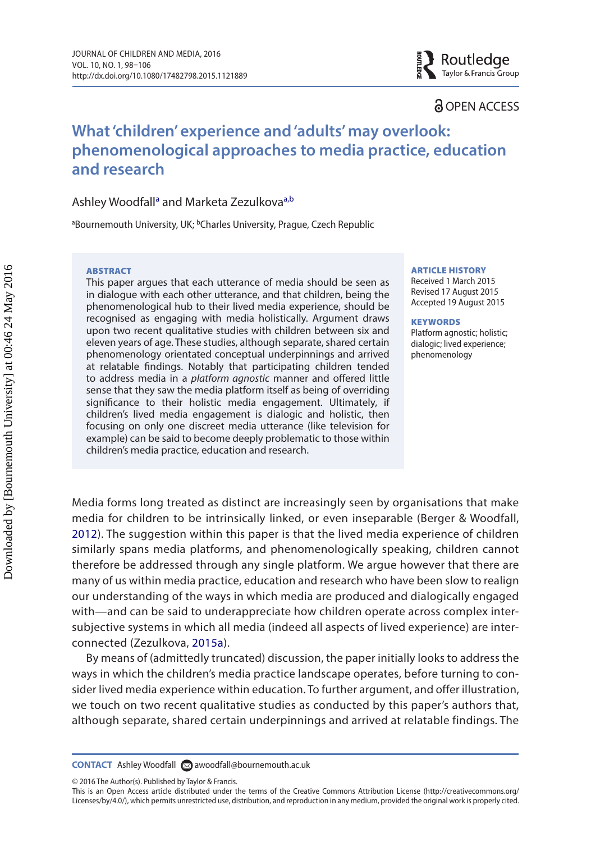# **A OPEN ACCESS**

# **What 'children' experience and 'adults' may overlook: phenomenological approaches to media practice, education and research**

#### Ashley Woodf[a](#page-1-0)ll<sup>a</sup> and Marketa Zezulkova<sup>a[,b](#page-1-1)</sup>

<span id="page-1-1"></span><span id="page-1-0"></span><sup>a</sup>Bournemouth University, UK; <sup>b</sup>Charles University, Prague, Czech Republic

#### **ARSTRACT**

This paper argues that each utterance of media should be seen as in dialogue with each other utterance, and that children, being the phenomenological hub to their lived media experience, should be recognised as engaging with media holistically. Argument draws upon two recent qualitative studies with children between six and eleven years of age. These studies, although separate, shared certain phenomenology orientated conceptual underpinnings and arrived at relatable findings. Notably that participating children tended to address media in a *platform agnostic* manner and offered little sense that they saw the media platform itself as being of overriding significance to their holistic media engagement. Ultimately, if children's lived media engagement is dialogic and holistic, then focusing on only one discreet media utterance (like television for example) can be said to become deeply problematic to those within children's media practice, education and research.

#### ARTICLE HISTORY

Received 1 March 2015 Revised 17 August 2015 Accepted 19 August 2015

#### **KEYWORDS**

Platform agnostic; holistic; dialogic; lived experience; phenomenology

<span id="page-1-2"></span>Media forms long treated as distinct are increasingly seen by organisations that make media for children to be intrinsically linked, or even inseparable (Berger & Woodfall, [2012](#page-8-0)). The suggestion within this paper is that the lived media experience of children similarly spans media platforms, and phenomenologically speaking, children cannot therefore be addressed through any single platform. We argue however that there are many of us within media practice, education and research who have been slow to realign our understanding of the ways in which media are produced and dialogically engaged with—and can be said to underappreciate how children operate across complex intersubjective systems in which all media (indeed all aspects of lived experience) are interconnected (Zezulkova, [2015a\)](#page-9-0).

<span id="page-1-3"></span>By means of (admittedly truncated) discussion, the paper initially looks to address the ways in which the children's media practice landscape operates, before turning to consider lived media experience within education. To further argument, and offer illustration, we touch on two recent qualitative studies as conducted by this paper's authors that, although separate, shared certain underpinnings and arrived at relatable findings. The

**CONTACT** Ashley Woodfall [awoodfall@bournemouth.ac.uk](mailto:awoodfall@bournemouth.ac.uk)

<sup>© 2016</sup> The Author(s). Published by Taylor & Francis.

This is an Open Access article distributed under the terms of the Creative Commons Attribution License (http://creativecommons.org/ Licenses/by/4.0/), which permits unrestricted use, distribution, and reproduction in any medium, provided the original work is properly cited.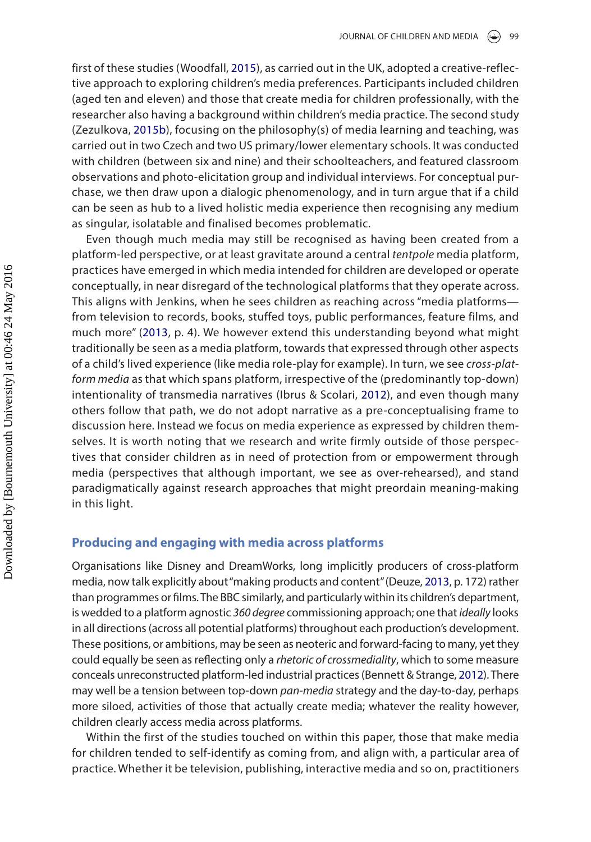<span id="page-2-5"></span><span id="page-2-4"></span>first of these studies (Woodfall, [2015](#page-9-1)), as carried out in the UK, adopted a creative-reflective approach to exploring children's media preferences. Participants included children (aged ten and eleven) and those that create media for children professionally, with the researcher also having a background within children's media practice. The second study (Zezulkova, [2015b\)](#page-9-2), focusing on the philosophy(s) of media learning and teaching, was carried out in two Czech and two US primary/lower elementary schools. It was conducted with children (between six and nine) and their schoolteachers, and featured classroom observations and photo-elicitation group and individual interviews. For conceptual purchase, we then draw upon a dialogic phenomenology, and in turn argue that if a child can be seen as hub to a lived holistic media experience then recognising any medium as singular, isolatable and finalised becomes problematic.

<span id="page-2-3"></span><span id="page-2-2"></span>Even though much media may still be recognised as having been created from a platform-led perspective, or at least gravitate around a central *tentpole* media platform, practices have emerged in which media intended for children are developed or operate conceptually, in near disregard of the technological platforms that they operate across. This aligns with Jenkins, when he sees children as reaching across "media platforms from television to records, books, stuffed toys, public performances, feature films, and much more" ([2013](#page-8-1), p. 4). We however extend this understanding beyond what might traditionally be seen as a media platform, towards that expressed through other aspects of a child's lived experience (like media role-play for example). In turn, we see *cross*-*platform media* as that which spans platform, irrespective of the (predominantly top-down) intentionality of transmedia narratives (Ibrus & Scolari, [2012](#page-8-2)), and even though many others follow that path, we do not adopt narrative as a pre-conceptualising frame to discussion here. Instead we focus on media experience as expressed by children themselves. It is worth noting that we research and write firmly outside of those perspectives that consider children as in need of protection from or empowerment through media (perspectives that although important, we see as over-rehearsed), and stand paradigmatically against research approaches that might preordain meaning-making in this light.

#### **Producing and engaging with media across platforms**

<span id="page-2-1"></span>Organisations like Disney and DreamWorks, long implicitly producers of cross-platform media, now talk explicitly about "making products and content" (Deuze, [2013](#page-8-3), p. 172) rather than programmes or films. The BBC similarly, and particularly within its children's department, is wedded to a platform agnostic *360 degree* commissioning approach; one that *ideally* looks in all directions (across all potential platforms) throughout each production's development. These positions, or ambitions, may be seen as neoteric and forward-facing to many, yet they could equally be seen as reflecting only a *rhetoric of crossmediality*, which to some measure conceals unreconstructed platform-led industrial practices (Bennett & Strange, [2012](#page-8-4)). There may well be a tension between top-down *pan*-*media* strategy and the day-to-day, perhaps more siloed, activities of those that actually create media; whatever the reality however, children clearly access media across platforms.

<span id="page-2-0"></span>Within the first of the studies touched on within this paper, those that make media for children tended to self-identify as coming from, and align with, a particular area of practice. Whether it be television, publishing, interactive media and so on, practitioners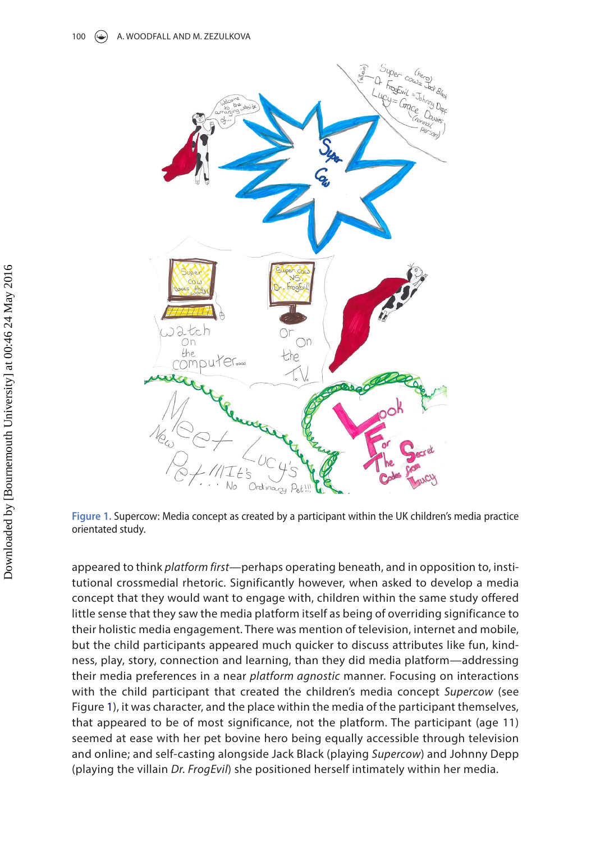

<span id="page-3-0"></span>**Figure 1.** Supercow: Media concept as created by a participant within the UK children's media practice orientated study.

appeared to think *platform first*—perhaps operating beneath, and in opposition to, institutional crossmedial rhetoric. Significantly however, when asked to develop a media concept that they would want to engage with, children within the same study offered little sense that they saw the media platform itself as being of overriding significance to their holistic media engagement. There was mention of television, internet and mobile, but the child participants appeared much quicker to discuss attributes like fun, kindness, play, story, connection and learning, than they did media platform—addressing their media preferences in a near *platform agnostic* manner. Focusing on interactions with the child participant that created the children's media concept *Supercow* (see Figure [1](#page-3-0)), it was character, and the place within the media of the participant themselves, that appeared to be of most significance, not the platform. The participant (age 11) seemed at ease with her pet bovine hero being equally accessible through television and online; and self-casting alongside Jack Black (playing *Supercow*) and Johnny Depp (playing the villain *Dr. FrogEvil*) she positioned herself intimately within her media.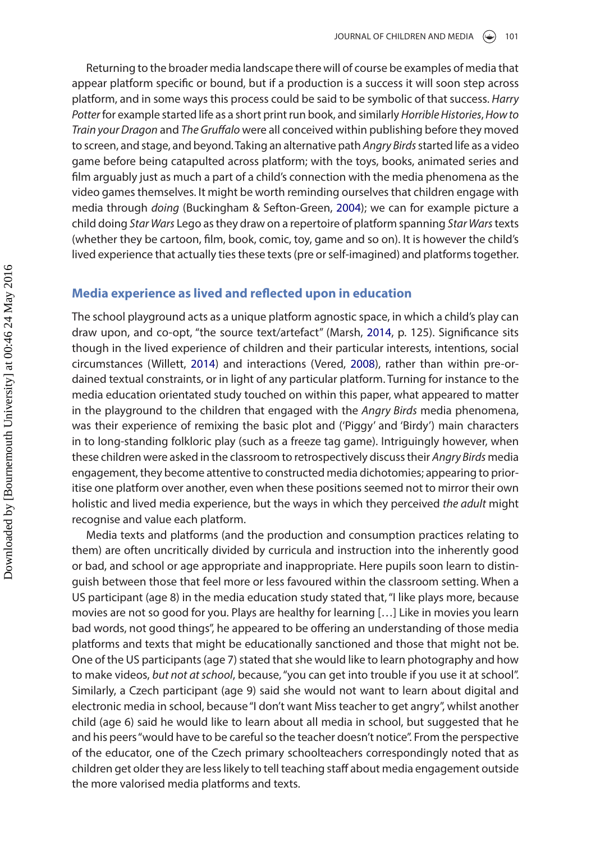Returning to the broader media landscape there will of course be examples of media that appear platform specific or bound, but if a production is a success it will soon step across platform, and in some ways this process could be said to be symbolic of that success. *Harry Potter* for example started life as a short print run book, and similarly *Horrible Histories*, *How to Train your Dragon* and *The Gruffalo* were all conceived within publishing before they moved to screen, and stage, and beyond. Taking an alternative path *Angry Birds* started life as a video game before being catapulted across platform; with the toys, books, animated series and film arguably just as much a part of a child's connection with the media phenomena as the video games themselves. It might be worth reminding ourselves that children engage with media through *doing* (Buckingham & Sefton-Green, [2004](#page-8-5)); we can for example picture a child doing *Star Wars* Lego as they draw on a repertoire of platform spanning *Star Wars* texts (whether they be cartoon, film, book, comic, toy, game and so on). It is however the child's lived experience that actually ties these texts (pre or self-imagined) and platforms together.

#### <span id="page-4-0"></span>**Media experience as lived and reflected upon in education**

<span id="page-4-3"></span><span id="page-4-2"></span><span id="page-4-1"></span>The school playground acts as a unique platform agnostic space, in which a child's play can draw upon, and co-opt, "the source text/artefact" (Marsh, [2014,](#page-9-3) p. 125). Significance sits though in the lived experience of children and their particular interests, intentions, social circumstances (Willett, [2014\)](#page-9-4) and interactions (Vered, [2008](#page-9-5)), rather than within pre-ordained textual constraints, or in light of any particular platform. Turning for instance to the media education orientated study touched on within this paper, what appeared to matter in the playground to the children that engaged with the *Angry Birds* media phenomena, was their experience of remixing the basic plot and ('Piggy' and 'Birdy') main characters in to long-standing folkloric play (such as a freeze tag game). Intriguingly however, when these children were asked in the classroom to retrospectively discuss their *Angry Birds* media engagement, they become attentive to constructed media dichotomies; appearing to prioritise one platform over another, even when these positions seemed not to mirror their own holistic and lived media experience, but the ways in which they perceived *the adult* might recognise and value each platform.

Media texts and platforms (and the production and consumption practices relating to them) are often uncritically divided by curricula and instruction into the inherently good or bad, and school or age appropriate and inappropriate. Here pupils soon learn to distinguish between those that feel more or less favoured within the classroom setting. When a US participant (age 8) in the media education study stated that, "I like plays more, because movies are not so good for you. Plays are healthy for learning […] Like in movies you learn bad words, not good things", he appeared to be offering an understanding of those media platforms and texts that might be educationally sanctioned and those that might not be. One of the US participants (age 7) stated that she would like to learn photography and how to make videos, *but not at school*, because, "you can get into trouble if you use it at school". Similarly, a Czech participant (age 9) said she would not want to learn about digital and electronic media in school, because "I don't want Miss teacher to get angry", whilst another child (age 6) said he would like to learn about all media in school, but suggested that he and his peers "would have to be careful so the teacher doesn't notice". From the perspective of the educator, one of the Czech primary schoolteachers correspondingly noted that as children get older they are less likely to tell teaching staff about media engagement outside the more valorised media platforms and texts.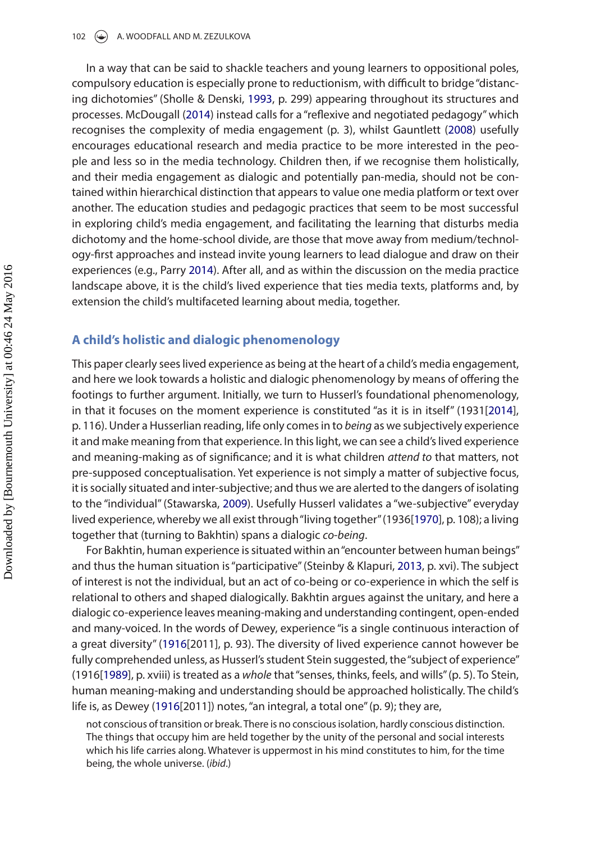<span id="page-5-6"></span><span id="page-5-4"></span><span id="page-5-1"></span>In a way that can be said to shackle teachers and young learners to oppositional poles, compulsory education is especially prone to reductionism, with difficult to bridge "distancing dichotomies" (Sholle & Denski, [1993](#page-9-6), p. 299) appearing throughout its structures and processes. McDougall [\(2014\)](#page-9-7) instead calls for a "reflexive and negotiated pedagogy" which recognises the complexity of media engagement (p. 3), whilst Gauntlett [\(2008\)](#page-8-6) usefully encourages educational research and media practice to be more interested in the people and less so in the media technology. Children then, if we recognise them holistically, and their media engagement as dialogic and potentially pan-media, should not be contained within hierarchical distinction that appears to value one media platform or text over another. The education studies and pedagogic practices that seem to be most successful in exploring child's media engagement, and facilitating the learning that disturbs media dichotomy and the home-school divide, are those that move away from medium/technology-first approaches and instead invite young learners to lead dialogue and draw on their experiences (e.g., Parry [2014](#page-9-8)). After all, and as within the discussion on the media practice landscape above, it is the child's lived experience that ties media texts, platforms and, by extension the child's multifaceted learning about media, together.

## <span id="page-5-5"></span>**A child's holistic and dialogic phenomenology**

<span id="page-5-3"></span>This paper clearly sees lived experience as being at the heart of a child's media engagement, and here we look towards a holistic and dialogic phenomenology by means of offering the footings to further argument. Initially, we turn to Husserl's foundational phenomenology, in that it focuses on the moment experience is constituted "as it is in itself" (1931[[2014](#page-8-7)], p. 116). Under a Husserlian reading, life only comes in to *being* as we subjectively experience it and make meaning from that experience. In this light, we can see a child's lived experience and meaning-making as of significance; and it is what children *attend to* that matters, not pre-supposed conceptualisation. Yet experience is not simply a matter of subjective focus, it is socially situated and inter-subjective; and thus we are alerted to the dangers of isolating to the "individual" (Stawarska, [2009\)](#page-9-9). Usefully Husserl validates a "we-subjective" everyday lived experience, whereby we all exist through "living together" (1936[[1970](#page-8-8)], p. 108); a living together that (turning to Bakhtin) spans a dialogic *co*-*being*.

<span id="page-5-9"></span><span id="page-5-7"></span><span id="page-5-2"></span>For Bakhtin, human experience is situated within an "encounter between human beings" and thus the human situation is "participative" (Steinby & Klapuri, [2013](#page-9-10), p. xvi). The subject of interest is not the individual, but an act of co-being or co-experience in which the self is relational to others and shaped dialogically. Bakhtin argues against the unitary, and here a dialogic co-experience leaves meaning-making and understanding contingent, open-ended and many-voiced. In the words of Dewey, experience "is a single continuous interaction of a great diversity" [\(1916\[](#page-8-9)2011], p. 93). The diversity of lived experience cannot however be fully comprehended unless, as Husserl's student Stein suggested, the "subject of experience" (1916[\[1989\]](#page-9-11), p. xviii) is treated as a *whole* that "senses, thinks, feels, and wills" (p. 5). To Stein, human meaning-making and understanding should be approached holistically. The child's life is, as Dewey ([1916](#page-8-9)[2011]) notes, "an integral, a total one" (p. 9); they are,

<span id="page-5-8"></span><span id="page-5-0"></span>not conscious of transition or break. There is no conscious isolation, hardly conscious distinction. The things that occupy him are held together by the unity of the personal and social interests which his life carries along. Whatever is uppermost in his mind constitutes to him, for the time being, the whole universe. (*ibid*.)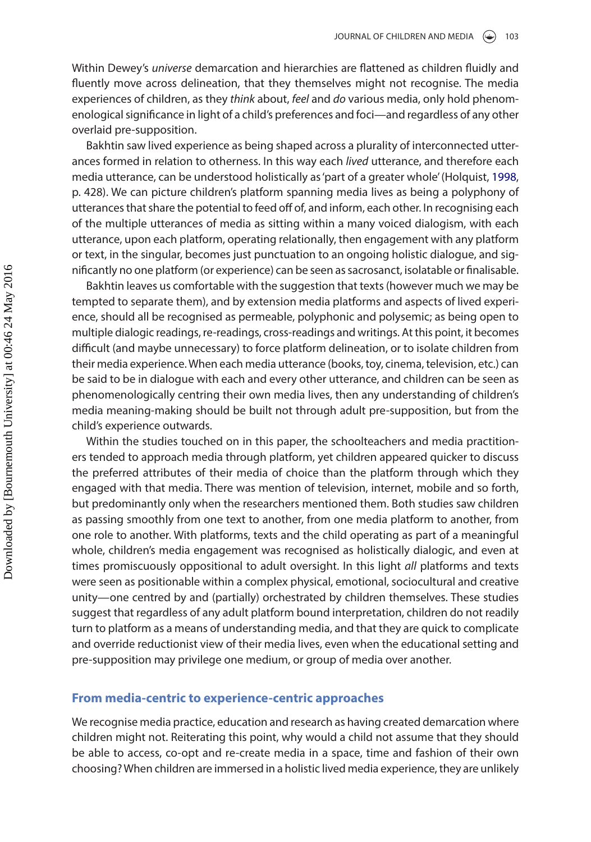Within Dewey's *universe* demarcation and hierarchies are flattened as children fluidly and fluently move across delineation, that they themselves might not recognise. The media experiences of children, as they *think* about, *feel* and *do* various media, only hold phenomenological significance in light of a child's preferences and foci—and regardless of any other overlaid pre-supposition.

<span id="page-6-0"></span>Bakhtin saw lived experience as being shaped across a plurality of interconnected utterances formed in relation to otherness. In this way each *lived* utterance, and therefore each media utterance, can be understood holistically as 'part of a greater whole' (Holquist, [1998](#page-8-10), p. 428). We can picture children's platform spanning media lives as being a polyphony of utterances that share the potential to feed off of, and inform, each other. In recognising each of the multiple utterances of media as sitting within a many voiced dialogism, with each utterance, upon each platform, operating relationally, then engagement with any platform or text, in the singular, becomes just punctuation to an ongoing holistic dialogue, and significantly no one platform (or experience) can be seen as sacrosanct, isolatable or finalisable.

Bakhtin leaves us comfortable with the suggestion that texts (however much we may be tempted to separate them), and by extension media platforms and aspects of lived experience, should all be recognised as permeable, polyphonic and polysemic; as being open to multiple dialogic readings, re-readings, cross-readings and writings. At this point, it becomes difficult (and maybe unnecessary) to force platform delineation, or to isolate children from their media experience. When each media utterance (books, toy, cinema, television, etc.) can be said to be in dialogue with each and every other utterance, and children can be seen as phenomenologically centring their own media lives, then any understanding of children's media meaning-making should be built not through adult pre-supposition, but from the child's experience outwards.

Within the studies touched on in this paper, the schoolteachers and media practitioners tended to approach media through platform, yet children appeared quicker to discuss the preferred attributes of their media of choice than the platform through which they engaged with that media. There was mention of television, internet, mobile and so forth, but predominantly only when the researchers mentioned them. Both studies saw children as passing smoothly from one text to another, from one media platform to another, from one role to another. With platforms, texts and the child operating as part of a meaningful whole, children's media engagement was recognised as holistically dialogic, and even at times promiscuously oppositional to adult oversight. In this light *all* platforms and texts were seen as positionable within a complex physical, emotional, sociocultural and creative unity—one centred by and (partially) orchestrated by children themselves. These studies suggest that regardless of any adult platform bound interpretation, children do not readily turn to platform as a means of understanding media, and that they are quick to complicate and override reductionist view of their media lives, even when the educational setting and pre-supposition may privilege one medium, or group of media over another.

#### **From media-centric to experience-centric approaches**

We recognise media practice, education and research as having created demarcation where children might not. Reiterating this point, why would a child not assume that they should be able to access, co-opt and re-create media in a space, time and fashion of their own choosing? When children are immersed in a holistic lived media experience, they are unlikely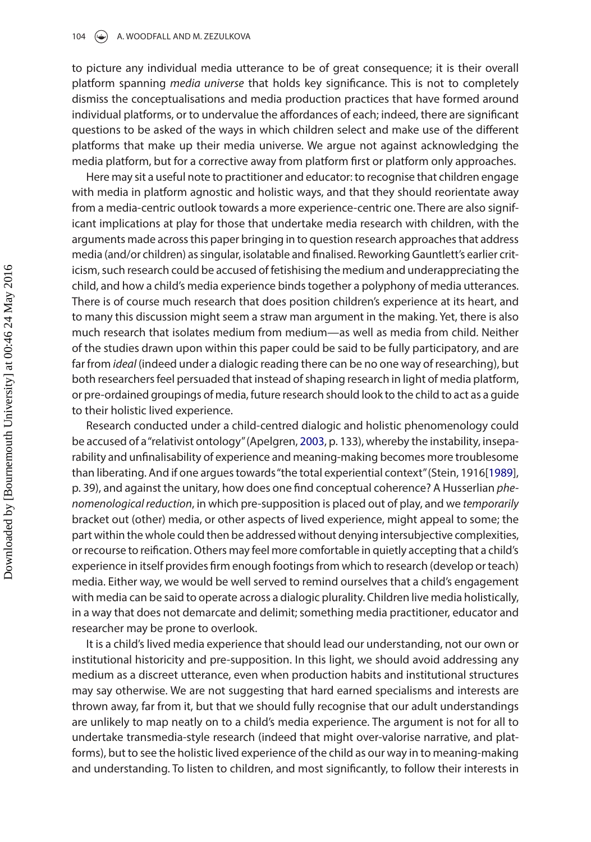to picture any individual media utterance to be of great consequence; it is their overall platform spanning *media universe* that holds key significance. This is not to completely dismiss the conceptualisations and media production practices that have formed around individual platforms, or to undervalue the affordances of each; indeed, there are significant questions to be asked of the ways in which children select and make use of the different platforms that make up their media universe. We argue not against acknowledging the media platform, but for a corrective away from platform first or platform only approaches.

Here may sit a useful note to practitioner and educator: to recognise that children engage with media in platform agnostic and holistic ways, and that they should reorientate away from a media-centric outlook towards a more experience-centric one. There are also significant implications at play for those that undertake media research with children, with the arguments made across this paper bringing in to question research approaches that address media (and/or children) as singular, isolatable and finalised. Reworking Gauntlett's earlier criticism, such research could be accused of fetishising the medium and underappreciating the child, and how a child's media experience binds together a polyphony of media utterances. There is of course much research that does position children's experience at its heart, and to many this discussion might seem a straw man argument in the making. Yet, there is also much research that isolates medium from medium—as well as media from child. Neither of the studies drawn upon within this paper could be said to be fully participatory, and are far from *ideal* (indeed under a dialogic reading there can be no one way of researching), but both researchers feel persuaded that instead of shaping research in light of media platform, or pre-ordained groupings of media, future research should look to the child to act as a guide to their holistic lived experience.

<span id="page-7-0"></span>Research conducted under a child-centred dialogic and holistic phenomenology could be accused of a "relativist ontology" (Apelgren, [2003,](#page-8-11) p. 133), whereby the instability, inseparability and unfinalisability of experience and meaning-making becomes more troublesome than liberating. And if one argues towards "the total experiential context" (Stein, 1916[[1989](#page-9-11)], p. 39), and against the unitary, how does one find conceptual coherence? A Husserlian *phenomenological reduction*, in which pre-supposition is placed out of play, and we *temporarily* bracket out (other) media, or other aspects of lived experience, might appeal to some; the part within the whole could then be addressed without denying intersubjective complexities, or recourse to reification. Others may feel more comfortable in quietly accepting that a child's experience in itself provides firm enough footings from which to research (develop or teach) media. Either way, we would be well served to remind ourselves that a child's engagement with media can be said to operate across a dialogic plurality. Children live media holistically, in a way that does not demarcate and delimit; something media practitioner, educator and researcher may be prone to overlook.

It is a child's lived media experience that should lead our understanding, not our own or institutional historicity and pre-supposition. In this light, we should avoid addressing any medium as a discreet utterance, even when production habits and institutional structures may say otherwise. We are not suggesting that hard earned specialisms and interests are thrown away, far from it, but that we should fully recognise that our adult understandings are unlikely to map neatly on to a child's media experience. The argument is not for all to undertake transmedia-style research (indeed that might over-valorise narrative, and platforms), but to see the holistic lived experience of the child as our way in to meaning-making and understanding. To listen to children, and most significantly, to follow their interests in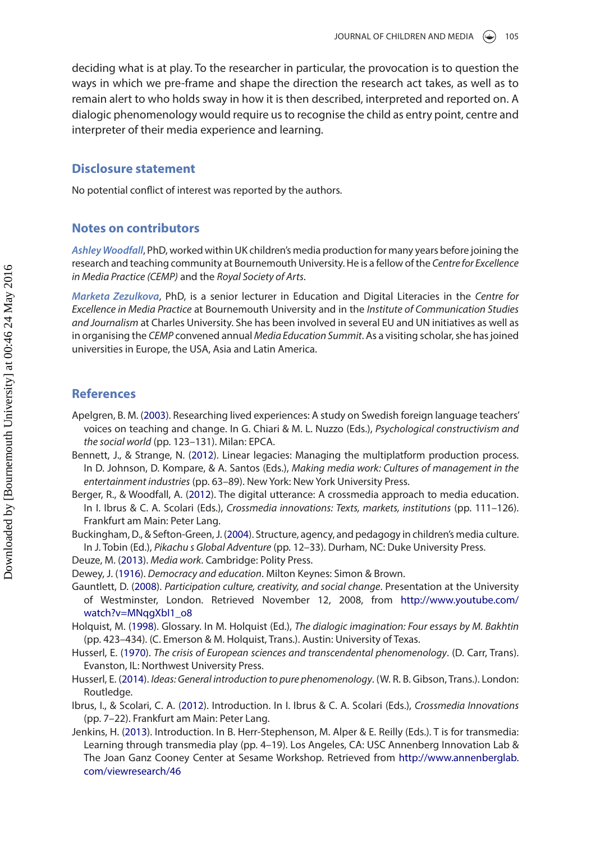deciding what is at play. To the researcher in particular, the provocation is to question the ways in which we pre-frame and shape the direction the research act takes, as well as to remain alert to who holds sway in how it is then described, interpreted and reported on. A dialogic phenomenology would require us to recognise the child as entry point, centre and interpreter of their media experience and learning.

#### **Disclosure statement**

No potential conflict of interest was reported by the authors.

### **Notes on contributors**

*Ashley Woodfall*, PhD, worked within UK children's media production for many years before joining the research and teaching community at Bournemouth University. He is a fellow of the *Centre for Excellence in Media Practice (CEMP)* and the *Royal Society of Arts*.

*Marketa Zezulkova*, PhD, is a senior lecturer in Education and Digital Literacies in the *Centre for Excellence in Media Practice* at Bournemouth University and in the *Institute of Communication Studies and Journalism* at Charles University. She has been involved in several EU and UN initiatives as well as in organising the *CEMP* convened annual *Media Education Summit*. As a visiting scholar, she has joined universities in Europe, the USA, Asia and Latin America.

#### **References**

- <span id="page-8-11"></span>Apelgren, B. M. ([2003](#page-7-0)). Researching lived experiences: A study on Swedish foreign language teachers' voices on teaching and change. In G. Chiari & M. L. Nuzzo (Eds.), *Psychological constructivism and the social world* (pp. 123–131). Milan: EPCA.
- <span id="page-8-4"></span>Bennett, J., & Strange, N. ([2012](#page-2-0)). Linear legacies: Managing the multiplatform production process. In D. Johnson, D. Kompare, & A. Santos (Eds.), *Making media work: Cultures of management in the entertainment industries* (pp. 63–89). New York: New York University Press.
- <span id="page-8-0"></span>Berger, R., & Woodfall, A. ([2012](#page-1-2)). The digital utterance: A crossmedia approach to media education. In I. Ibrus & C. A. Scolari (Eds.), *Crossmedia innovations: Texts, markets, institutions* (pp. 111–126). Frankfurt am Main: Peter Lang.
- <span id="page-8-5"></span>Buckingham, D., & Sefton-Green, J. [\(2004\)](#page-4-0). Structure, agency, and pedagogy in children's media culture. In J. Tobin (Ed.), *Pikachu s Global Adventure* (pp. 12–33). Durham, NC: Duke University Press.
- <span id="page-8-3"></span>Deuze, M. [\(2013](#page-2-1)). *Media work*. Cambridge: Polity Press.
- <span id="page-8-9"></span>Dewey, J. ([1916](#page-5-0)). *Democracy and education*. Milton Keynes: Simon & Brown.
- <span id="page-8-6"></span>Gauntlett, D. [\(2008\)](#page-5-1). *Participation culture, creativity, and social change*. Presentation at the University of Westminster, London. Retrieved November 12, 2008, from [http://www.youtube.com/](http://www.youtube.com/watch?v=MNqgXbI1_o8) [watch?v=MNqgXbI1\\_o8](http://www.youtube.com/watch?v=MNqgXbI1_o8)
- <span id="page-8-10"></span>Holquist, M. ([1998](#page-6-0)). Glossary. In M. Holquist (Ed.), *The dialogic imagination: Four essays by M. Bakhtin* (pp. 423–434). (C. Emerson & M. Holquist, Trans.). Austin: University of Texas.
- <span id="page-8-8"></span>Husserl, E. [\(1970\)](#page-5-2). *The crisis of European sciences and transcendental phenomenology*. (D. Carr, Trans). Evanston, IL: Northwest University Press.
- <span id="page-8-7"></span>Husserl, E. ([2014](#page-5-3)). *Ideas: General introduction to pure phenomenology*. (W. R. B. Gibson, Trans.). London: Routledge.
- <span id="page-8-2"></span>Ibrus, I., & Scolari, C. A. [\(2012\)](#page-2-2). Introduction. In I. Ibrus & C. A. Scolari (Eds.), *Crossmedia Innovations* (pp. 7–22). Frankfurt am Main: Peter Lang.
- <span id="page-8-1"></span>Jenkins, H. [\(2013\)](#page-2-3). Introduction. In B. Herr-Stephenson, M. Alper & E. Reilly (Eds.). T is for transmedia: Learning through transmedia play (pp. 4–19). Los Angeles, CA: USC Annenberg Innovation Lab & The Joan Ganz Cooney Center at Sesame Workshop. Retrieved from [http://www.annenberglab.](http://www.annenberglab.com/viewresearch/46) [com/viewresearch/46](http://www.annenberglab.com/viewresearch/46)